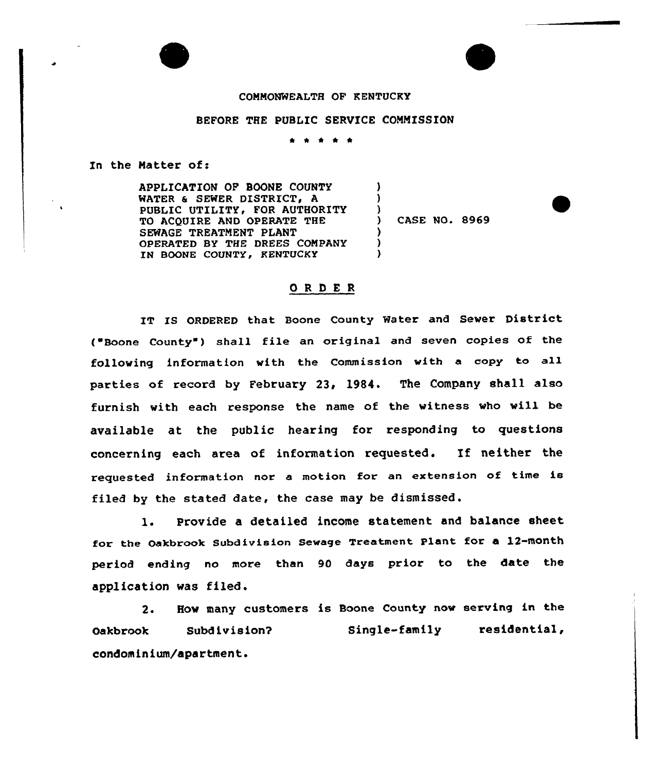## COMMONWEALTH OF KENTUCKY

## BEFORE THE PUBLIC SERVICE COMMISSION

\* <sup>4</sup> <sup>4</sup> \*

In the Matter of:

APPLICATION OP BOONE COUNTY WATER & SEWER DISTRICT. A PUBLIC UTILITY, FOR AUTHORITY TO ACQUIRE AND OPERATE THE SEWAGE TREATMENT PLANT OPERATED BY THE DREES COMPANY IN BOONE COUNTY, KENTUCKY

) CASE NO. 8969

) )  $\left\{ \begin{array}{c} 1 \\ 2 \end{array} \right\}$ 

) ) )

## ORDER

IT IS ORDERED that Boone County Water and Sewer District ("Boone County") shall file an original and seven copies of the following information with the Commission with a copy to all parties of record by February 23, 1984. The Company shall also furnish with each response the name of the witness who will be available at the public hearing for responding to questions concerning each area of information requested. If neither the requested information nor a motion for an extension of time is filed by the stated date, the case may be dismissed .

l. Provide <sup>a</sup> detailed income statement and balance sheet for the Oakbrook Subdivision Sewage Treatment Plant for a 12-month period ending no more than 90 days prior to the date the application was filed.

2. Hov many customers is Boone County nov serving in the Oakbrook Subdivision? condominium/apartment. Single-family residential,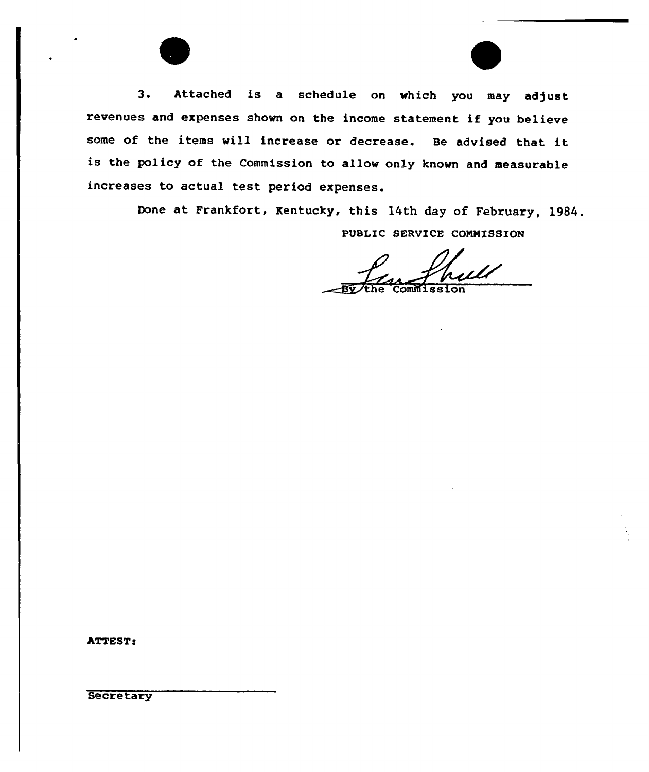3. Attached is a schedule on which you may adjust revenues and expenses shown on the income statement if you believe some of the items will increase or decrease. Be advised that it is the policy of the Commission to allow only known and measurable increases to actual test period expenses.

> Done at Frankfort, Kentucky, this 14th day of February, 1984. PVBLIC SERVICE COMMISSION

Commission

ATTEST:

**Secretary**